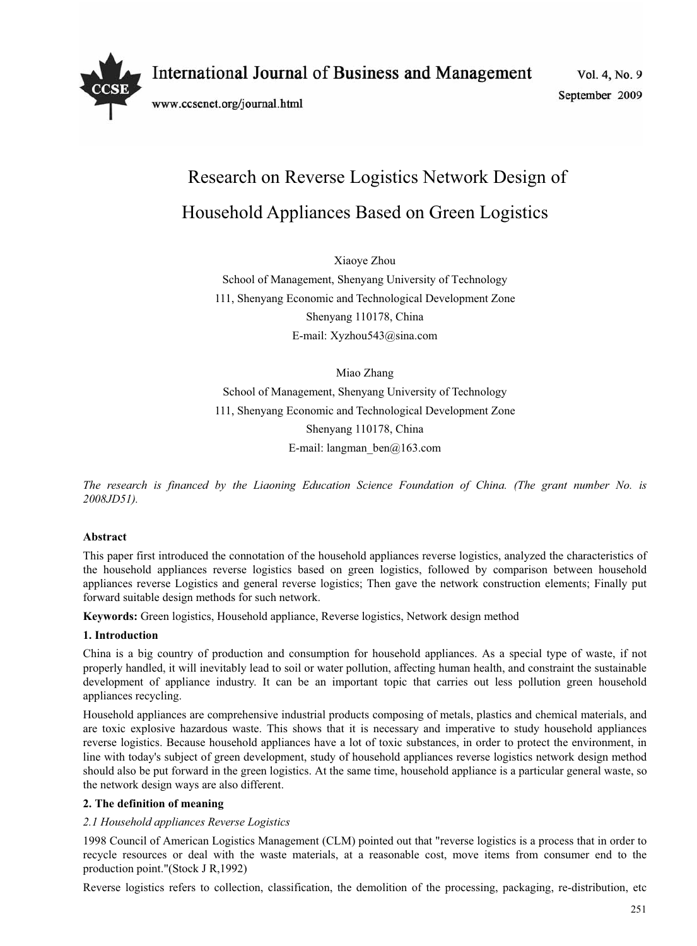International Journal of Business and Management

www.ccsenet.org/journal.html

Vol. 4, No. 9 September 2009

# Research on Reverse Logistics Network Design of Household Appliances Based on Green Logistics

Xiaoye Zhou

School of Management, Shenyang University of Technology 111, Shenyang Economic and Technological Development Zone Shenyang 110178, China E-mail: Xyzhou543@sina.com

Miao Zhang School of Management, Shenyang University of Technology 111, Shenyang Economic and Technological Development Zone Shenyang 110178, China E-mail: langman\_ben@163.com

*The research is financed by the Liaoning Education Science Foundation of China. (The grant number No. is 2008JD51).* 

# **Abstract**

This paper first introduced the connotation of the household appliances reverse logistics, analyzed the characteristics of the household appliances reverse logistics based on green logistics, followed by comparison between household appliances reverse Logistics and general reverse logistics; Then gave the network construction elements; Finally put forward suitable design methods for such network.

**Keywords:** Green logistics, Household appliance, Reverse logistics, Network design method

# **1. Introduction**

China is a big country of production and consumption for household appliances. As a special type of waste, if not properly handled, it will inevitably lead to soil or water pollution, affecting human health, and constraint the sustainable development of appliance industry. It can be an important topic that carries out less pollution green household appliances recycling.

Household appliances are comprehensive industrial products composing of metals, plastics and chemical materials, and are toxic explosive hazardous waste. This shows that it is necessary and imperative to study household appliances reverse logistics. Because household appliances have a lot of toxic substances, in order to protect the environment, in line with today's subject of green development, study of household appliances reverse logistics network design method should also be put forward in the green logistics. At the same time, household appliance is a particular general waste, so the network design ways are also different.

# **2. The definition of meaning**

# *2.1 Household appliances Reverse Logistics*

1998 Council of American Logistics Management (CLM) pointed out that "reverse logistics is a process that in order to recycle resources or deal with the waste materials, at a reasonable cost, move items from consumer end to the production point."(Stock J R,1992)

Reverse logistics refers to collection, classification, the demolition of the processing, packaging, re-distribution, etc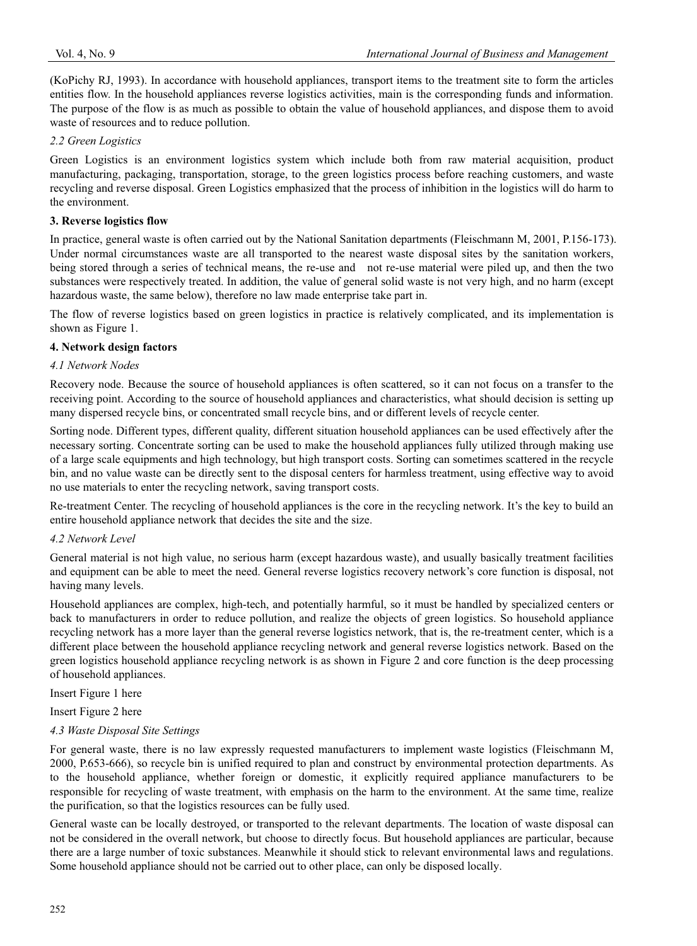(KoPichy RJ, 1993). In accordance with household appliances, transport items to the treatment site to form the articles entities flow. In the household appliances reverse logistics activities, main is the corresponding funds and information. The purpose of the flow is as much as possible to obtain the value of household appliances, and dispose them to avoid waste of resources and to reduce pollution.

## *2.2 Green Logistics*

Green Logistics is an environment logistics system which include both from raw material acquisition, product manufacturing, packaging, transportation, storage, to the green logistics process before reaching customers, and waste recycling and reverse disposal. Green Logistics emphasized that the process of inhibition in the logistics will do harm to the environment.

#### **3. Reverse logistics flow**

In practice, general waste is often carried out by the National Sanitation departments (Fleischmann M, 2001, P.156-173). Under normal circumstances waste are all transported to the nearest waste disposal sites by the sanitation workers, being stored through a series of technical means, the re-use and not re-use material were piled up, and then the two substances were respectively treated. In addition, the value of general solid waste is not very high, and no harm (except hazardous waste, the same below), therefore no law made enterprise take part in.

The flow of reverse logistics based on green logistics in practice is relatively complicated, and its implementation is shown as Figure 1.

## **4. Network design factors**

#### *4.1 Network Nodes*

Recovery node. Because the source of household appliances is often scattered, so it can not focus on a transfer to the receiving point. According to the source of household appliances and characteristics, what should decision is setting up many dispersed recycle bins, or concentrated small recycle bins, and or different levels of recycle center.

Sorting node. Different types, different quality, different situation household appliances can be used effectively after the necessary sorting. Concentrate sorting can be used to make the household appliances fully utilized through making use of a large scale equipments and high technology, but high transport costs. Sorting can sometimes scattered in the recycle bin, and no value waste can be directly sent to the disposal centers for harmless treatment, using effective way to avoid no use materials to enter the recycling network, saving transport costs.

Re-treatment Center. The recycling of household appliances is the core in the recycling network. It's the key to build an entire household appliance network that decides the site and the size.

#### *4.2 Network Level*

General material is not high value, no serious harm (except hazardous waste), and usually basically treatment facilities and equipment can be able to meet the need. General reverse logistics recovery network's core function is disposal, not having many levels.

Household appliances are complex, high-tech, and potentially harmful, so it must be handled by specialized centers or back to manufacturers in order to reduce pollution, and realize the objects of green logistics. So household appliance recycling network has a more layer than the general reverse logistics network, that is, the re-treatment center, which is a different place between the household appliance recycling network and general reverse logistics network. Based on the green logistics household appliance recycling network is as shown in Figure 2 and core function is the deep processing of household appliances.

Insert Figure 1 here

Insert Figure 2 here

# *4.3 Waste Disposal Site Settings*

For general waste, there is no law expressly requested manufacturers to implement waste logistics (Fleischmann M, 2000, P.653-666), so recycle bin is unified required to plan and construct by environmental protection departments. As to the household appliance, whether foreign or domestic, it explicitly required appliance manufacturers to be responsible for recycling of waste treatment, with emphasis on the harm to the environment. At the same time, realize the purification, so that the logistics resources can be fully used.

General waste can be locally destroyed, or transported to the relevant departments. The location of waste disposal can not be considered in the overall network, but choose to directly focus. But household appliances are particular, because there are a large number of toxic substances. Meanwhile it should stick to relevant environmental laws and regulations. Some household appliance should not be carried out to other place, can only be disposed locally.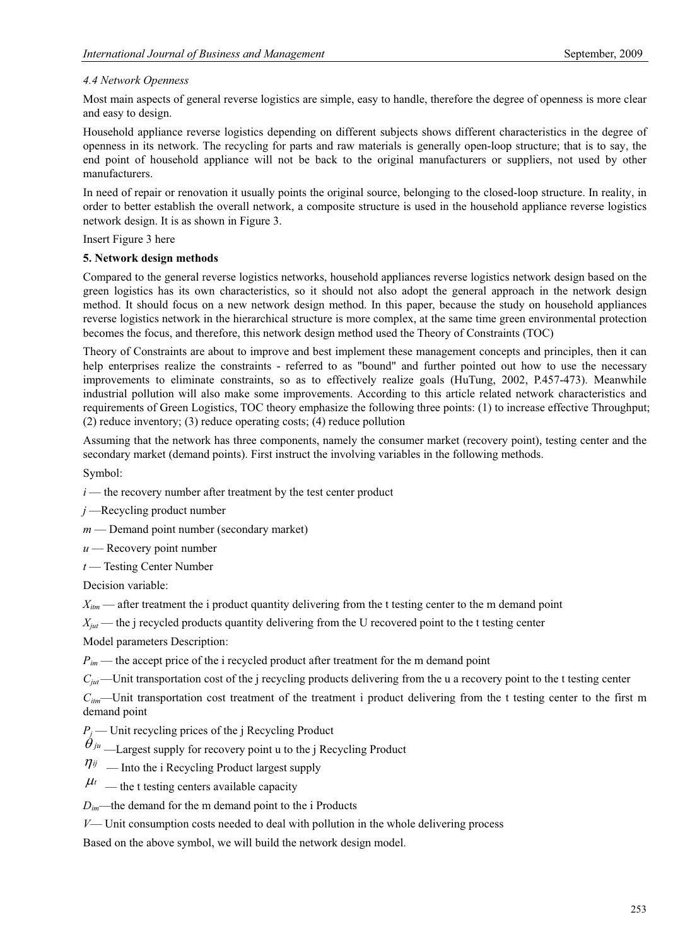# *4.4 Network Openness*

Most main aspects of general reverse logistics are simple, easy to handle, therefore the degree of openness is more clear and easy to design.

Household appliance reverse logistics depending on different subjects shows different characteristics in the degree of openness in its network. The recycling for parts and raw materials is generally open-loop structure; that is to say, the end point of household appliance will not be back to the original manufacturers or suppliers, not used by other manufacturers.

In need of repair or renovation it usually points the original source, belonging to the closed-loop structure. In reality, in order to better establish the overall network, a composite structure is used in the household appliance reverse logistics network design. It is as shown in Figure 3.

Insert Figure 3 here

# **5. Network design methods**

Compared to the general reverse logistics networks, household appliances reverse logistics network design based on the green logistics has its own characteristics, so it should not also adopt the general approach in the network design method. It should focus on a new network design method. In this paper, because the study on household appliances reverse logistics network in the hierarchical structure is more complex, at the same time green environmental protection becomes the focus, and therefore, this network design method used the Theory of Constraints (TOC)

Theory of Constraints are about to improve and best implement these management concepts and principles, then it can help enterprises realize the constraints - referred to as "bound" and further pointed out how to use the necessary improvements to eliminate constraints, so as to effectively realize goals (HuTung, 2002, P.457-473). Meanwhile industrial pollution will also make some improvements. According to this article related network characteristics and requirements of Green Logistics, TOC theory emphasize the following three points: (1) to increase effective Throughput; (2) reduce inventory; (3) reduce operating costs; (4) reduce pollution

Assuming that the network has three components, namely the consumer market (recovery point), testing center and the secondary market (demand points). First instruct the involving variables in the following methods.

Symbol:

- $i$  the recovery number after treatment by the test center product
- *j* —Recycling product number
- *m* Demand point number (secondary market)
- *<sup>u</sup>* Recovery point number
- *<sup>t</sup>* Testing Center Number

Decision variable:

*X<sub>itm</sub>* — after treatment the i product quantity delivering from the t testing center to the m demand point

*X<sub>jut</sub>* — the j recycled products quantity delivering from the U recovered point to the t testing center

Model parameters Description:

*P<sub>im</sub>* — the accept price of the i recycled product after treatment for the m demand point

*Cjut*—Unit transportation cost of the j recycling products delivering from the u a recovery point to the t testing center

*Citm*—Unit transportation cost treatment of the treatment i product delivering from the t testing center to the first m demand point

 $P_i$  — Unit recycling prices of the j Recycling Product

 $\theta_{ju}$  —Largest supply for recovery point u to the j Recycling Product

- $\eta_{ij}$  Into the i Recycling Product largest supply
- $\mu_t$  the t testing centers available capacity

 $D_{im}$ —the demand for the m demand point to the i Products

*V*— Unit consumption costs needed to deal with pollution in the whole delivering process

Based on the above symbol, we will build the network design model.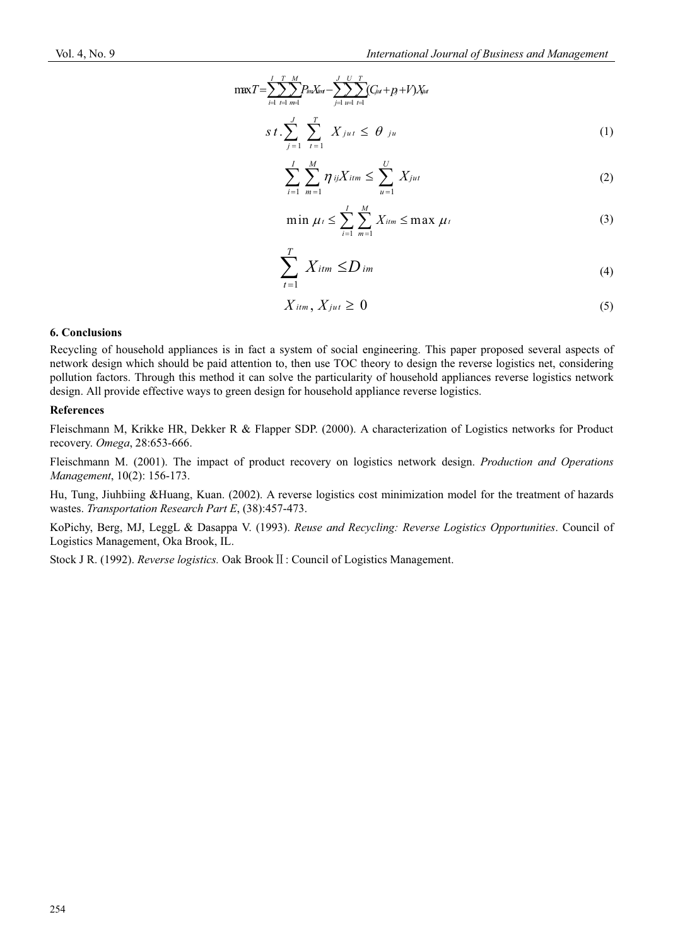$$
\max T = \sum_{i=1}^{I} \sum_{t=1}^{T} \sum_{m=1}^{M} P_{im} X_{im} - \sum_{j=1}^{J} \sum_{u=1}^{U} \sum_{t=1}^{T} (C_{iu} + p_{j} + V) X_{iu}
$$
\n
$$
s \ t \ \cdot \sum_{j=1}^{J} \sum_{t=1}^{T} X_{jut} \leq \theta_{ju} \tag{1}
$$

$$
\sum_{i=1}^{I} \sum_{m=1}^{M} \eta_{ij} X_{itm} \leq \sum_{u=1}^{U} X_{jut}
$$
 (2)

$$
\min \mu_t \leq \sum_{i=1}^I \sum_{m=1}^M X_{itm} \leq \max \mu_t \tag{3}
$$

$$
\sum_{t=1}^{T} X_{itm} \le D_{im} \tag{4}
$$

$$
X_{itm}, X_{jut} \geq 0 \tag{5}
$$

#### **6. Conclusions**

Recycling of household appliances is in fact a system of social engineering. This paper proposed several aspects of network design which should be paid attention to, then use TOC theory to design the reverse logistics net, considering pollution factors. Through this method it can solve the particularity of household appliances reverse logistics network design. All provide effective ways to green design for household appliance reverse logistics.

## **References**

Fleischmann M, Krikke HR, Dekker R & Flapper SDP. (2000). A characterization of Logistics networks for Product recovery. *Omega*, 28:653-666.

Fleischmann M. (2001). The impact of product recovery on logistics network design. *Production and Operations Management*, 10(2): 156-173.

Hu, Tung, Jiuhbiing &Huang, Kuan. (2002). A reverse logistics cost minimization model for the treatment of hazards wastes. *Transportation Research Part E*, (38):457-473.

KoPichy, Berg, MJ, LeggL & Dasappa V. (1993). *Reuse and Recycling: Reverse Logistics Opportunities*. Council of Logistics Management, Oka Brook, IL.

Stock J R. (1992). *Reverse logistics*. Oak Brook II: Council of Logistics Management.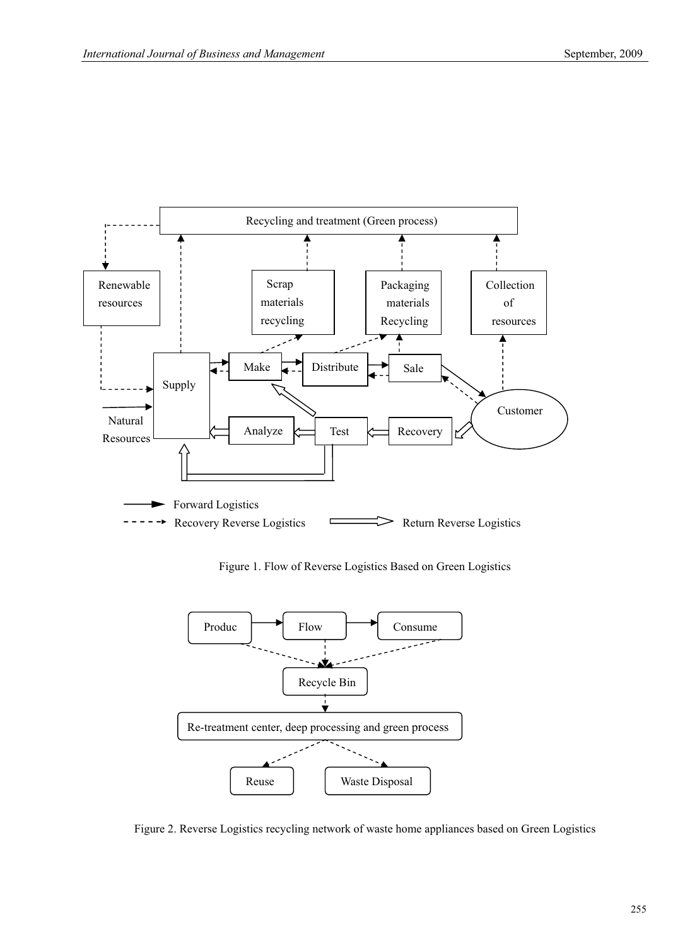

Figure 1. Flow of Reverse Logistics Based on Green Logistics



Figure 2. Reverse Logistics recycling network of waste home appliances based on Green Logistics